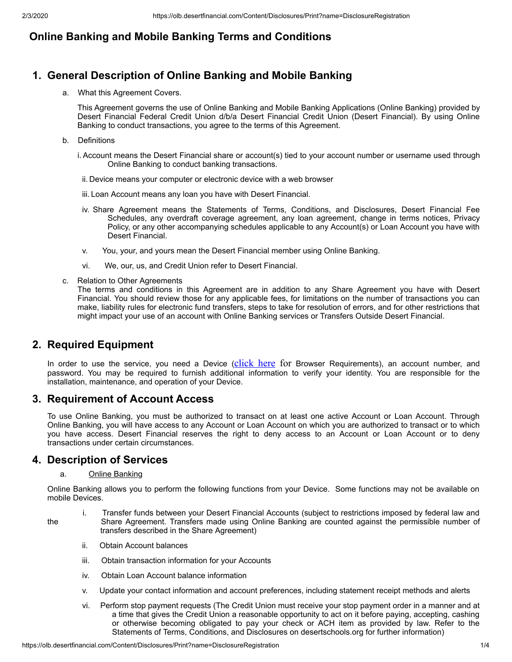# **Online Banking and Mobile Banking Terms and Conditions**

# **1. General Description of Online Banking and Mobile Banking**

a. What this Agreement Covers.

This Agreement governs the use of Online Banking and Mobile Banking Applications (Online Banking) provided by Desert Financial Federal Credit Union d/b/a Desert Financial Credit Union (Desert Financial). By using Online Banking to conduct transactions, you agree to the terms of this Agreement.

- b. Definitions
	- i. Account means the Desert Financial share or account(s) tied to your account number or username used through Online Banking to conduct banking transactions.
	- ii. Device means your computer or electronic device with a web browser
	- iii. Loan Account means any loan you have with Desert Financial.
	- iv. Share Agreement means the Statements of Terms, Conditions, and Disclosures, Desert Financial Fee Schedules, any overdraft coverage agreement, any loan agreement, change in terms notices, Privacy Policy, or any other accompanying schedules applicable to any Account(s) or Loan Account you have with Desert Financial.
	- v. You, your, and yours mean the Desert Financial member using Online Banking.
	- vi. We, our, us, and Credit Union refer to Desert Financial.
- c. Relation to Other Agreements

The terms and conditions in this Agreement are in addition to any Share Agreement you have with Desert Financial. You should review those for any applicable fees, for limitations on the number of transactions you can make, liability rules for electronic fund transfers, steps to take for resolution of errors, and for other restrictions that might impact your use of an account with Online Banking services or Transfers Outside Desert Financial.

## **2. Required Equipment**

In order to use the service, you need a Device ([click here](https://www.desertfinancial.com/browser-requirements) for Browser Requirements), an account number, and password. You may be required to furnish additional information to verify your identity. You are responsible for the installation, maintenance, and operation of your Device.

## **3. Requirement of Account Access**

To use Online Banking, you must be authorized to transact on at least one active Account or Loan Account. Through Online Banking, you will have access to any Account or Loan Account on which you are authorized to transact or to which you have access. Desert Financial reserves the right to deny access to an Account or Loan Account or to deny transactions under certain circumstances.

## **4. Description of Services**

#### a. Online Banking

Online Banking allows you to perform the following functions from your Device. Some functions may not be available on mobile Devices.

- i. Transfer funds between your Desert Financial Accounts (subject to restrictions imposed by federal law and the Share Agreement. Transfers made using Online Banking are counted against the permissible number of transfers described in the Share Agreement)
	- ii. Obtain Account balances
	- iii. Obtain transaction information for your Accounts
	- iv. Obtain Loan Account balance information
	- v. Update your contact information and account preferences, including statement receipt methods and alerts
	- vi. Perform stop payment requests (The Credit Union must receive your stop payment order in a manner and at a time that gives the Credit Union a reasonable opportunity to act on it before paying, accepting, cashing or otherwise becoming obligated to pay your check or ACH item as provided by law. Refer to the Statements of Terms, Conditions, and Disclosures on desertschools.org for further information)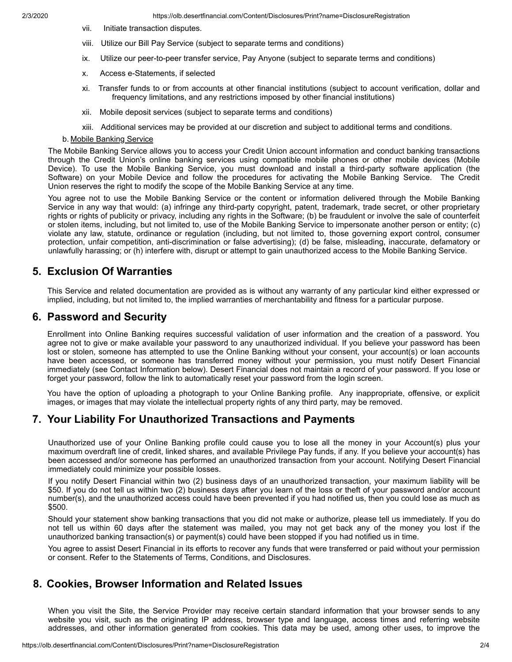- vii. Initiate transaction disputes.
- viii. Utilize our Bill Pay Service (subject to separate terms and conditions)
- ix. Utilize our peer-to-peer transfer service, Pay Anyone (subject to separate terms and conditions)
- x. Access e-Statements, if selected
- xi. Transfer funds to or from accounts at other financial institutions (subject to account verification, dollar and frequency limitations, and any restrictions imposed by other financial institutions)
- xii. Mobile deposit services (subject to separate terms and conditions)
- xiii. Additional services may be provided at our discretion and subject to additional terms and conditions.

#### b. Mobile Banking Service

The Mobile Banking Service allows you to access your Credit Union account information and conduct banking transactions through the Credit Union's online banking services using compatible mobile phones or other mobile devices (Mobile Device). To use the Mobile Banking Service, you must download and install a third-party software application (the Software) on your Mobile Device and follow the procedures for activating the Mobile Banking Service. The Credit Union reserves the right to modify the scope of the Mobile Banking Service at any time.

You agree not to use the Mobile Banking Service or the content or information delivered through the Mobile Banking Service in any way that would: (a) infringe any third-party copyright, patent, trademark, trade secret, or other proprietary rights or rights of publicity or privacy, including any rights in the Software; (b) be fraudulent or involve the sale of counterfeit or stolen items, including, but not limited to, use of the Mobile Banking Service to impersonate another person or entity; (c) violate any law, statute, ordinance or regulation (including, but not limited to, those governing export control, consumer protection, unfair competition, anti-discrimination or false advertising); (d) be false, misleading, inaccurate, defamatory or unlawfully harassing; or (h) interfere with, disrupt or attempt to gain unauthorized access to the Mobile Banking Service.

## **5. Exclusion Of Warranties**

This Service and related documentation are provided as is without any warranty of any particular kind either expressed or implied, including, but not limited to, the implied warranties of merchantability and fitness for a particular purpose.

#### **6. Password and Security**

Enrollment into Online Banking requires successful validation of user information and the creation of a password. You agree not to give or make available your password to any unauthorized individual. If you believe your password has been lost or stolen, someone has attempted to use the Online Banking without your consent, your account(s) or loan accounts have been accessed, or someone has transferred money without your permission, you must notify Desert Financial immediately (see Contact Information below). Desert Financial does not maintain a record of your password. If you lose or forget your password, follow the link to automatically reset your password from the login screen.

You have the option of uploading a photograph to your Online Banking profile. Any inappropriate, offensive, or explicit images, or images that may violate the intellectual property rights of any third party, may be removed.

## **7. Your Liability For Unauthorized Transactions and Payments**

Unauthorized use of your Online Banking profile could cause you to lose all the money in your Account(s) plus your maximum overdraft line of credit, linked shares, and available Privilege Pay funds, if any. If you believe your account(s) has been accessed and/or someone has performed an unauthorized transaction from your account. Notifying Desert Financial immediately could minimize your possible losses.

If you notify Desert Financial within two (2) business days of an unauthorized transaction, your maximum liability will be \$50. If you do not tell us within two (2) business days after you learn of the loss or theft of your password and/or account number(s), and the unauthorized access could have been prevented if you had notified us, then you could lose as much as \$500.

Should your statement show banking transactions that you did not make or authorize, please tell us immediately. If you do not tell us within 60 days after the statement was mailed, you may not get back any of the money you lost if the unauthorized banking transaction(s) or payment(s) could have been stopped if you had notified us in time.

You agree to assist Desert Financial in its efforts to recover any funds that were transferred or paid without your permission or consent. Refer to the Statements of Terms, Conditions, and Disclosures.

## **8. Cookies, Browser Information and Related Issues**

When you visit the Site, the Service Provider may receive certain standard information that your browser sends to any website you visit, such as the originating IP address, browser type and language, access times and referring website addresses, and other information generated from cookies. This data may be used, among other uses, to improve the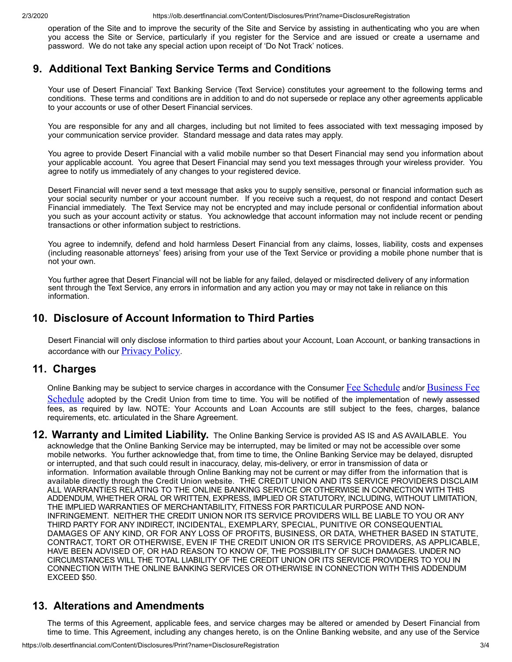operation of the Site and to improve the security of the Site and Service by assisting in authenticating who you are when you access the Site or Service, particularly if you register for the Service and are issued or create a username and password. We do not take any special action upon receipt of 'Do Not Track' notices.

## **9. Additional Text Banking Service Terms and Conditions**

Your use of Desert Financial' Text Banking Service (Text Service) constitutes your agreement to the following terms and conditions. These terms and conditions are in addition to and do not supersede or replace any other agreements applicable to your accounts or use of other Desert Financial services.

You are responsible for any and all charges, including but not limited to fees associated with text messaging imposed by your communication service provider. Standard message and data rates may apply.

You agree to provide Desert Financial with a valid mobile number so that Desert Financial may send you information about your applicable account. You agree that Desert Financial may send you text messages through your wireless provider. You agree to notify us immediately of any changes to your registered device.

Desert Financial will never send a text message that asks you to supply sensitive, personal or financial information such as your social security number or your account number. If you receive such a request, do not respond and contact Desert Financial immediately. The Text Service may not be encrypted and may include personal or confidential information about you such as your account activity or status. You acknowledge that account information may not include recent or pending transactions or other information subject to restrictions.

You agree to indemnify, defend and hold harmless Desert Financial from any claims, losses, liability, costs and expenses (including reasonable attorneys' fees) arising from your use of the Text Service or providing a mobile phone number that is not your own.

You further agree that Desert Financial will not be liable for any failed, delayed or misdirected delivery of any information sent through the Text Service, any errors in information and any action you may or may not take in reliance on this information.

## **10. Disclosure of Account Information to Third Parties**

Desert Financial will only disclose information to third parties about your Account, Loan Account, or banking transactions in accordance with our **[Privacy Policy](https://www.desertfinancial.com/privacy-policy)**.

## **11. Charges**

Online Banking may be subject to service charges in accordance with the Consumer [Fee Schedule](https://www.desertfinancial.com/businessfees) and/or Business Fee Schedule adopted by the Credit Union from time to time. You will be notified of the implementation of newly assessed fees, as required by law. NOTE: Your Accounts and Loan Accounts are still subject to the fees, charges, balance requirements, etc. articulated in the Share Agreement.

**12. Warranty and Limited Liability.** The Online Banking Service is provided AS IS and AS AVAILABLE. You acknowledge that the Online Banking Service may be interrupted, may be limited or may not be accessible over some mobile networks. You further acknowledge that, from time to time, the Online Banking Service may be delayed, disrupted or interrupted, and that such could result in inaccuracy, delay, mis-delivery, or error in transmission of data or information. Information available through Online Banking may not be current or may differ from the information that is available directly through the Credit Union website. THE CREDIT UNION AND ITS SERVICE PROVIDERS DISCLAIM ALL WARRANTIES RELATING TO THE ONLINE BANKING SERVICE OR OTHERWISE IN CONNECTION WITH THIS ADDENDUM, WHETHER ORAL OR WRITTEN, EXPRESS, IMPLIED OR STATUTORY, INCLUDING, WITHOUT LIMITATION, THE IMPLIED WARRANTIES OF MERCHANTABILITY, FITNESS FOR PARTICULAR PURPOSE AND NON-INFRINGEMENT. NEITHER THE CREDIT UNION NOR ITS SERVICE PROVIDERS WILL BE LIABLE TO YOU OR ANY THIRD PARTY FOR ANY INDIRECT, INCIDENTAL, EXEMPLARY, SPECIAL, PUNITIVE OR CONSEQUENTIAL DAMAGES OF ANY KIND, OR FOR ANY LOSS OF PROFITS, BUSINESS, OR DATA, WHETHER BASED IN STATUTE, CONTRACT, TORT OR OTHERWISE, EVEN IF THE CREDIT UNION OR ITS SERVICE PROVIDERS, AS APPLICABLE, HAVE BEEN ADVISED OF, OR HAD REASON TO KNOW OF, THE POSSIBILITY OF SUCH DAMAGES. UNDER NO CIRCUMSTANCES WILL THE TOTAL LIABILITY OF THE CREDIT UNION OR ITS SERVICE PROVIDERS TO YOU IN CONNECTION WITH THE ONLINE BANKING SERVICES OR OTHERWISE IN CONNECTION WITH THIS ADDENDUM EXCEED \$50.

## **13. Alterations and Amendments**

The terms of this Agreement, applicable fees, and service charges may be altered or amended by Desert Financial from time to time. This Agreement, including any changes hereto, is on the Online Banking website, and any use of the Service